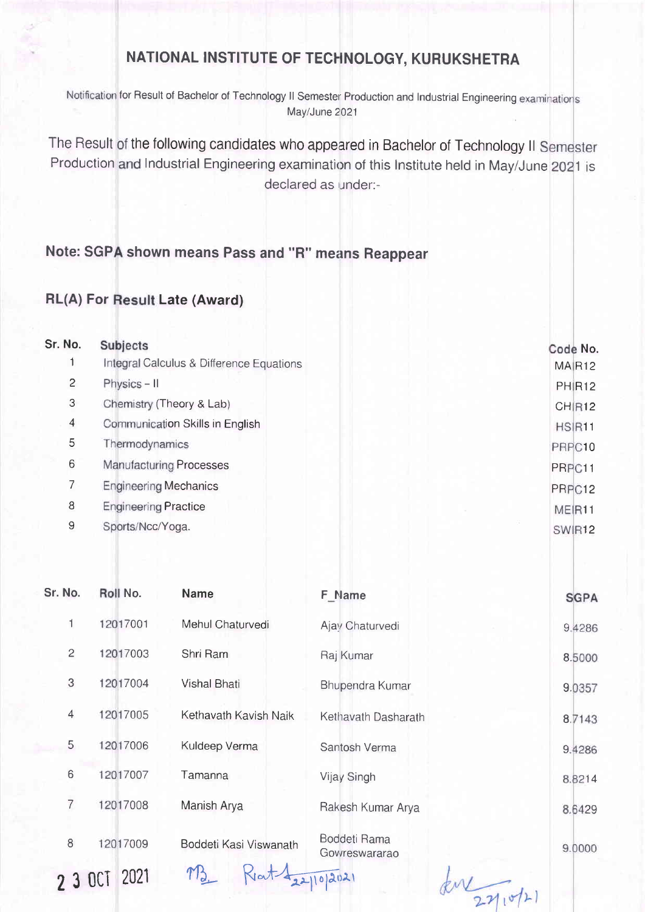## NATIONAL INSTITUTE OF TECHNOLOGY, KURUKSHETRA

Notification for Result of Bachelor of Technology II Semester Production and Industrial Engineering examinations May/June 2021

The Result of the following candidates who appeared in Bachelor of Technology II Production and Industrial Engineering examination of this Institute held in May/June 2021 is declared as under:-

## Note: SGPA shown means Pass and "R" means Reappear

## RL(A) For Result Late (Award)

| Sr. No.                 | <b>Subjects</b>                          | Code No.           |
|-------------------------|------------------------------------------|--------------------|
|                         | Integral Calculus & Difference Equations | MAIR <sub>12</sub> |
| $\overline{c}$          | Physics - II                             | PHIR <sub>12</sub> |
| 3                       | Chemistry (Theory & Lab)                 | CHIR12             |
| $\overline{\mathbf{4}}$ | Communication Skills in English          | HSIR11             |
| 5                       | Thermodynamics                           | PRPC10             |
| 6                       | <b>Manufacturing Processes</b>           | PRPC11             |
| 7                       | <b>Engineering Mechanics</b>             | PRPC12             |
| 8                       | <b>Engineering Practice</b>              | MEIR <sub>11</sub> |
| $\overline{9}$          | Sports/Ncc/Yoga.                         | SWIR <sub>12</sub> |
|                         |                                          |                    |

| Sr. No.        | Roll No. | <b>Name</b>            | F Name                        | <b>SGPA</b> |
|----------------|----------|------------------------|-------------------------------|-------------|
| 1              | 12017001 | Mehul Chaturvedi       | Ajay Chaturvedi               | 9.4286      |
| $\overline{c}$ | 12017003 | Shri Ram               | Raj Kumar                     | 8.5000      |
| 3              | 12017004 | <b>Vishal Bhati</b>    | Bhupendra Kumar               | 9.0357      |
| $\overline{4}$ | 12017005 | Kethavath Kavish Naik  | Kethavath Dasharath           | 8.7143      |
| 5              | 12017006 | Kuldeep Verma          | Santosh Verma                 | 9.4286      |
| 6              | 12017007 | Tamanna                | Vijay Singh                   | 8.8214      |
| 7              | 12017008 | Manish Arya            | Rakesh Kumar Arya             | 8.6429      |
| 8              | 12017009 | Boddeti Kasi Viswanath | Boddeti Rama<br>Govreswararao | 9.0000      |
|                | 2021     |                        | 22/10/2021                    |             |

 $271072$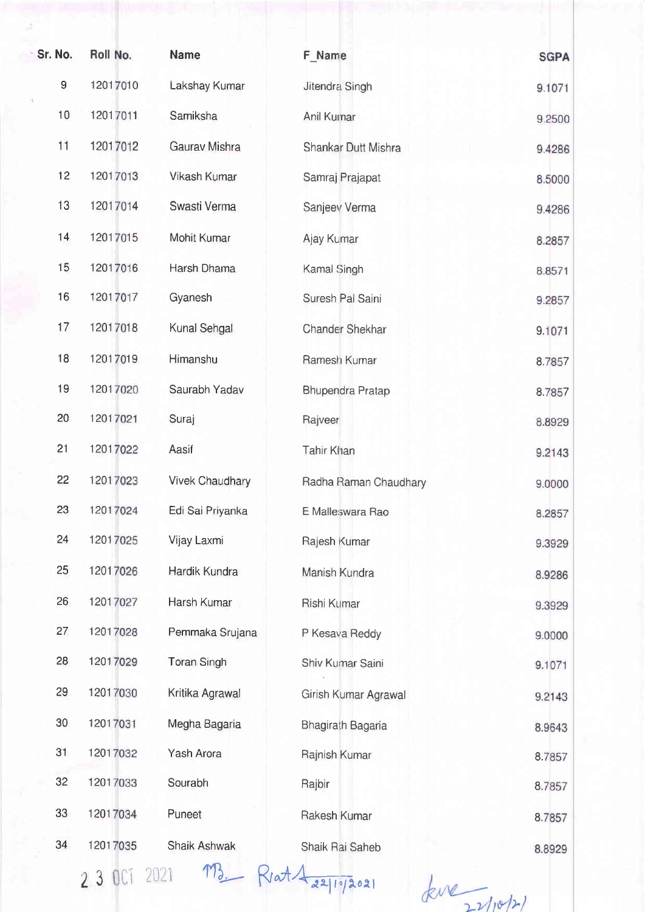|    | Sr. No.     | Roll No. | <b>Name</b>            | F Name                 | <b>SGPA</b> |
|----|-------------|----------|------------------------|------------------------|-------------|
|    | $\mathsf g$ | 12017010 | Lakshay Kumar          | Jitendra Singh         | 9.1071      |
| ×. | 10          | 12017011 | Samiksha               | Anil Kumar             | 9.2500      |
|    | 11          | 12017012 | Gaurav Mishra          | Shankar Dutt Mishra    | 9.4286      |
|    | 12          | 12017013 | Vikash Kumar           | Samraj Prajapat        | 8.5000      |
|    | 13          | 12017014 | Swasti Verma           | Sanjeev Verma          | 9.4286      |
|    | 14          | 12017015 | Mohit Kumar            | Ajay Kumar             | 8.2857      |
|    | 15          | 12017016 | Harsh Dhama            | Kamal Singh            | 8.8571      |
|    | 16          | 12017017 | Gyanesh                | Suresh Pal Saini       | 9.2857      |
|    | 17          | 12017018 | Kunal Sehgal           | <b>Chander Shekhar</b> | 9.1071      |
|    | 18          | 12017019 | Himanshu               | Ramesh Kumar           | 8.7857      |
|    | 19          | 12017020 | Saurabh Yadav          | Bhupendra Pratap       | 8.7857      |
|    | 20          | 12017021 | Suraj                  | Rajveer                | 8.8929      |
|    | 21          | 12017022 | Aasif                  | <b>Tahir Khan</b>      | 9.2143      |
|    | 22          | 12017023 | <b>Vivek Chaudhary</b> | Radha Raman Chaudhary  | 9.0000      |
|    | 23          | 12017024 | Edi Sai Priyanka       | E Malleswara Rao       | 8.2857      |
|    | 24          | 12017025 | Vijay Laxmi            | Rajesh Kumar           | 9.3929      |
|    | 25          | 12017026 | Hardik Kundra          | Manish Kundra          | 8.9286      |
|    | 26          | 12017027 | Harsh Kumar            | Rishi Kumar            | 9.3929      |
|    | 27          | 12017028 | Pemmaka Srujana        | P Kesava Reddy         | 9.0000      |
|    | 28          | 12017029 | <b>Toran Singh</b>     | Shiv Kumar Saini       | 9.1071      |
|    | 29          | 12017030 | Kritika Agrawal        | Girish Kumar Agrawal   | 9.2143      |
|    | 30          | 12017031 | Megha Bagaria          | Bhagirath Bagaria      | 8.9643      |
|    | 31          | 12017032 | Yash Arora             | Rajnish Kumar          | 8.7857      |
|    | 32          | 12017033 | Sourabh                | Rajbir                 | 8.7857      |
|    | 33          | 12017034 | Puneet                 | Rakesh Kumar           | 8.7857      |
|    | 34          | 12017035 | Shaik Ashwak           | Shaik Rai Saheb        | 8.8929      |
|    |             |          | MR                     |                        |             |

2 3 OCT 2021 M<sub>3</sub>

 $Riat \frac{1}{221072021}$   $kve$   $271071$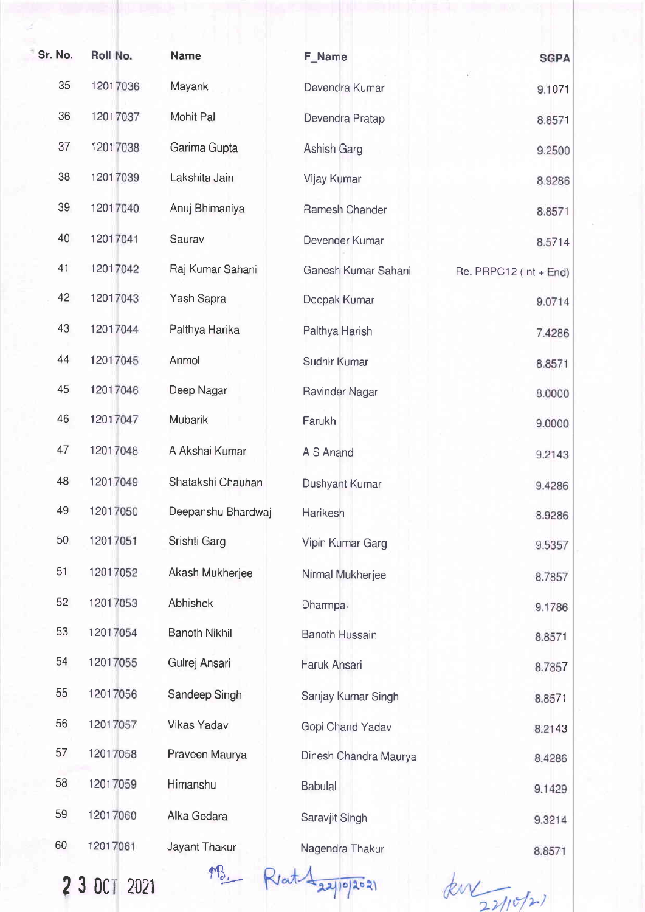| Sr. No. | Roll No. | <b>Name</b>          | F Name                | <b>SGPA</b>            |
|---------|----------|----------------------|-----------------------|------------------------|
| 35      | 12017036 | Mayank               | Devendra Kumar        | 9.1071                 |
| 36      | 12017037 | Mohit Pal            |                       |                        |
|         |          |                      | Devendra Pratap       | 8.8571                 |
| 37      | 12017038 | Garima Gupta         | Ashish Garg           | 9.2500                 |
| 38      | 12017039 | Lakshita Jain        | Vijay Kumar           | 8.9286                 |
| 39      | 12017040 | Anuj Bhimaniya       | Ramesh Chander        | 8.8571                 |
| 40      | 12017041 | Saurav               | Devender Kumar        | 8.5714                 |
| 41      | 12017042 | Raj Kumar Sahani     | Ganesh Kumar Sahani   | Re. PRPC12 (Int + End) |
| 42      | 12017043 | Yash Sapra           | Deepak Kumar          | 9.0714                 |
| 43      | 12017044 | Palthya Harika       | Palthya Harish        | 7.4286                 |
| 44      | 12017045 | Anmol                | Sudhir Kumar          | 8.8571                 |
| 45      | 12017046 | Deep Nagar           | Ravinder Nagar        | 8.0000                 |
| 46      | 12017047 | Mubarik              | Farukh                | 9.0000                 |
| 47      | 12017048 | A Akshai Kumar       | A S Anand             | 9.2143                 |
| 48      | 12017049 | Shatakshi Chauhan    | Dushyant Kumar        | 9.4286                 |
| 49      | 12017050 | Deepanshu Bhardwaj   | Harikesh              | 8.9286                 |
| 50      | 12017051 | Srishti Garg         | Vipin Kumar Garg      | 9.5357                 |
| 51      | 12017052 | Akash Mukherjee      | Nirmal Mukherjee      | 8.7857                 |
| 52      | 12017053 | Abhishek             | Dharmpal              | 9.1786                 |
| 53      | 12017054 | <b>Banoth Nikhil</b> | <b>Banoth Hussain</b> | 8.8571                 |
| 54      | 12017055 | Gulrej Ansari        | Faruk Ansari          | 8.7857                 |
| 55      | 12017056 | Sandeep Singh        | Sanjay Kumar Singh    | 8.8571                 |
| 56      | 12017057 | <b>Vikas Yadav</b>   | Gopi Chand Yadav      | 8.2143                 |
| 57      | 12017058 | Praveen Maurya       | Dinesh Chandra Maurya | 8.4286                 |
| 58      | 12017059 | Himanshu             | <b>Babulal</b>        | 9.1429                 |
| 59      | 12017060 | Alka Godara          | Saravjit Singh        | 9.3214                 |
| 60      | 12017061 | Jayant Thakur        | Nagendra Thakur       | 8.8571                 |
|         |          |                      |                       |                        |

23Dc 2021

193. Rent 1 22/10/2021

 $k$ w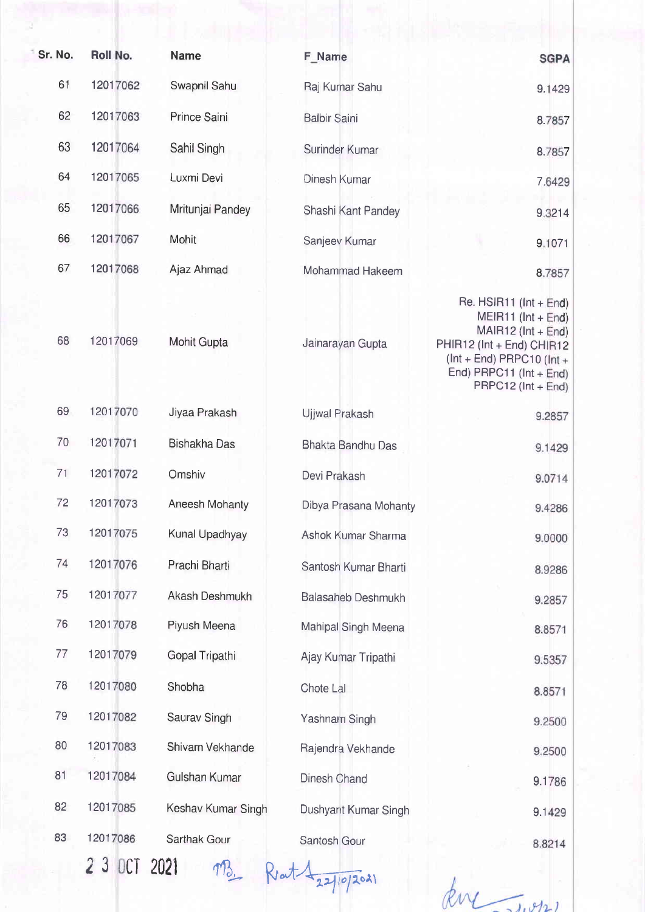| Sr. No. | Roll No.     | <b>Name</b>         | F Name                     | <b>SGPA</b>                                                                                                                                                                                  |
|---------|--------------|---------------------|----------------------------|----------------------------------------------------------------------------------------------------------------------------------------------------------------------------------------------|
| 61      | 12017062     | Swapnil Sahu        | Raj Kurnar Sahu            | 9.1429                                                                                                                                                                                       |
| 62      | 12017063     | Prince Saini        | <b>Balbir Saini</b>        | 8.7857                                                                                                                                                                                       |
| 63      | 12017064     | Sahil Singh         | Surinder Kumar             | 8.7857                                                                                                                                                                                       |
| 64      | 12017065     | Luxmi Devi          | Dinesh Kumar               | 7.6429                                                                                                                                                                                       |
| 65      | 12017066     | Mritunjai Pandey    | Shashi Kant Pandey         | 9.3214                                                                                                                                                                                       |
| 66      | 12017067     | Mohit               | Sanjeev Kumar              | 9.1071                                                                                                                                                                                       |
| 67      | 12017068     | Ajaz Ahmad          | Mohammad Hakeem            | 8.7857                                                                                                                                                                                       |
| 68      | 12017069     | Mohit Gupta         | Jainarayan Gupta           | Re. $HSIR11$ ( $Int + End$ )<br>$MEIR11$ ( $Int + End$ )<br>MAIR12 (Int + End)<br>PHIR12 (Int + End) CHIR12<br>$ (Int + End) PRPC10 (Int +$<br>End) PRPC11 (Int + End)<br>PRPC12 (Int + End) |
| 69      | 12017070     | Jiyaa Prakash       | Ujjwal Prakash             | 9.2857                                                                                                                                                                                       |
| 70      | 12017071     | <b>Bishakha Das</b> | Bhakta Bandhu Das          | 9.1429                                                                                                                                                                                       |
| 71      | 12017072     | Omshiv              | Devi Prakash               | 9.0714                                                                                                                                                                                       |
| 72      | 12017073     | Aneesh Mohanty      | Dibya Prasana Mohanty      | 9.4286                                                                                                                                                                                       |
| 73      | 12017075     | Kunal Upadhyay      | Ashok Kumar Sharma         | 9.0000                                                                                                                                                                                       |
| 74      | 12017076     | Prachi Bharti       | Santosh Kumar Bharti       | 8.9286                                                                                                                                                                                       |
| 75      | 12017077     | Akash Deshmukh      | Balasaheb Deshmukh         | 9.2857                                                                                                                                                                                       |
| 76      | 12017078     | Piyush Meena        | Mahipal Singh Meena        | 8.8571                                                                                                                                                                                       |
| 77      | 12017079     | Gopal Tripathi      | Ajay Kumar Tripathi        | 9.5357                                                                                                                                                                                       |
| 78      | 12017080     | Shobha              | Chote Lal                  | 8.8571                                                                                                                                                                                       |
| 79      | 12017082     | Saurav Singh        | Yashnam Singh              | 9.2500                                                                                                                                                                                       |
| 80      | 12017083     | Shivam Vekhande     | Rajendra Vekhande          | 9.2500                                                                                                                                                                                       |
| 81      | 12017084     | Gulshan Kumar       | Dinesh Chand               | 9.1786                                                                                                                                                                                       |
| 82      | 12017085     | Keshav Kumar Singh  | Dushyant Kumar Singh       | 9.1429                                                                                                                                                                                       |
| 83      | 12017086     | Sarthak Gour        | Santosh Gour               | 8.8214                                                                                                                                                                                       |
|         | 2 3 OCT 2021 |                     | $R$ at $\frac{1}{2210201}$ |                                                                                                                                                                                              |

king Twon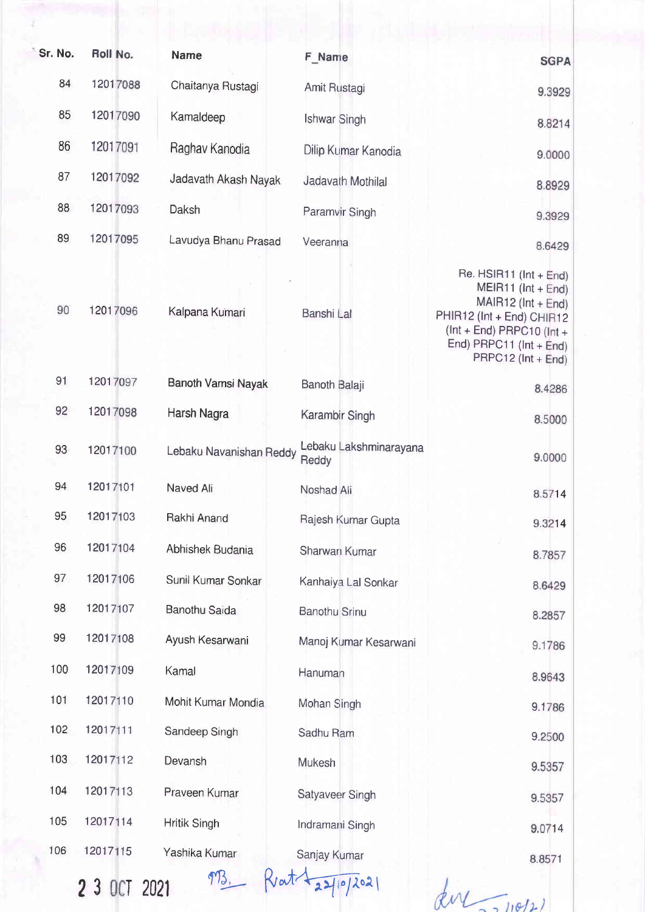| Sr. No. | Roll No. | <b>Name</b>             | F_Name                          | <b>SGPA</b>                                                                                                                                                                             |
|---------|----------|-------------------------|---------------------------------|-----------------------------------------------------------------------------------------------------------------------------------------------------------------------------------------|
| 84      | 12017088 | Chaitanya Rustagi       | Amit Rustagi                    | 9.3929                                                                                                                                                                                  |
| 85      | 12017090 | Kamaldeep               | Ishwar Singh                    | 8.8214                                                                                                                                                                                  |
| 86      | 12017091 | Raghav Kanodia          | Dilip Kumar Kanodia             | 9.0000                                                                                                                                                                                  |
| 87      | 12017092 | Jadavath Akash Nayak    | Jadavath Mothilal               | 8.8929                                                                                                                                                                                  |
| 88      | 12017093 | Daksh                   | Paramvir Singh                  | 9.3929                                                                                                                                                                                  |
| 89      | 12017095 | Lavudya Bhanu Prasad    | Veeranna                        | 8.6429                                                                                                                                                                                  |
| 90      | 12017096 | Kalpana Kumari          | Banshi Lal                      | Re. HSIR11 (Int + End)<br>MEIR11 (Int + End)<br>$MAIR12$ ( $Int + End$ )<br>PHIR12 (Int + End) CHIR12<br>$(int + End)$ PRPC10 $(int +$<br>End) PRPC11 (Int + End)<br>PRPC12 (Int + End) |
| 91      | 12017097 | Banoth Vamsi Nayak      | Banoth Balaji                   | 8.4286                                                                                                                                                                                  |
| 92      | 12017098 | Harsh Nagra             | Karambir Singh                  | 8.5000                                                                                                                                                                                  |
| 93      | 12017100 | Lebaku Navanishan Reddy | Lebaku Lakshminarayana<br>Reddy | 9.0000                                                                                                                                                                                  |
| 94      | 12017101 | Naved Ali               | Noshad Ali                      | 8.5714                                                                                                                                                                                  |
| 95      | 12017103 | Rakhi Anand             | Rajesh Kumar Gupta              | 9.3214                                                                                                                                                                                  |
| 96      | 12017104 | Abhishek Budania        | Sharwan Kumar                   | 8.7857                                                                                                                                                                                  |
| 97      | 12017106 | Sunil Kumar Sonkar      | Kanhaiya Lal Sonkar             | 8.6429                                                                                                                                                                                  |
| 98      | 12017107 | <b>Banothu Saida</b>    | <b>Banothu Srinu</b>            | 8.2857                                                                                                                                                                                  |
| 99      | 12017108 | Ayush Kesarwani         | Manoj Kumar Kesarwani           | 9.1786                                                                                                                                                                                  |
| 100     | 12017109 | Kamal                   | Hanuman                         | 8.9643                                                                                                                                                                                  |
| 101     | 12017110 | Mohit Kumar Mondia      | Mohan Singh                     | 9.1786                                                                                                                                                                                  |
| 102     | 12017111 | Sandeep Singh           | Sadhu Ram                       | 9.2500                                                                                                                                                                                  |
| 103     | 12017112 | Devansh                 | Mukesh                          | 9.5357                                                                                                                                                                                  |
| 104     | 12017113 | Praveen Kumar           | Satyaveer Singh                 | 9.5357                                                                                                                                                                                  |
| 105     | 12017114 | <b>Hritik Singh</b>     | Indramani Singh                 | 9.0714                                                                                                                                                                                  |
| 106     | 12017115 | Yashika Kumar           | Sanjay Kumar                    | 8.8571                                                                                                                                                                                  |
|         |          |                         |                                 |                                                                                                                                                                                         |

2 3 OCT 2021

 $973.$  Krat  $\sqrt{2710/2021}$ 

 $div\overline{\mathcal{L}^{10/2}}$